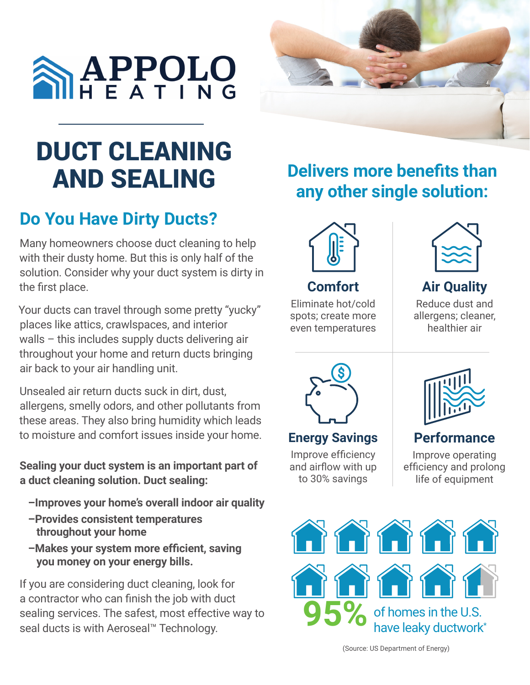



### DUCT CLEANING AND SEALING

#### **Do You Have Dirty Ducts?**

Many homeowners choose duct cleaning to help with their dusty home. But this is only half of the solution. Consider why your duct system is dirty in the first place.

Your ducts can travel through some pretty "yucky" places like attics, crawlspaces, and interior walls – this includes supply ducts delivering air throughout your home and return ducts bringing air back to your air handling unit.

Unsealed air return ducts suck in dirt, dust, allergens, smelly odors, and other pollutants from these areas. They also bring humidity which leads to moisture and comfort issues inside your home.

**Sealing your duct system is an important part of a duct cleaning solution. Duct sealing:** 

- **–Improves your home's overall indoor air quality**
- **–Provides consistent temperatures throughout your home**
- **–Makes your system more efficient, saving you money on your energy bills.**

If you are considering duct cleaning, look for a contractor who can finish the job with duct sealing services. The safest, most effective way to seal ducts is with Aeroseal™ Technology.

#### **Delivers more benefits than any other single solution:**



Eliminate hot/cold spots; create more even temperatures



**Air Quality** Reduce dust and

allergens; cleaner, healthier air



**Energy Savings** Improve efficiency and airflow with up to 30% savings



**Performance**

Improve operating efficiency and prolong life of equipment



(Source: US Department of Energy)